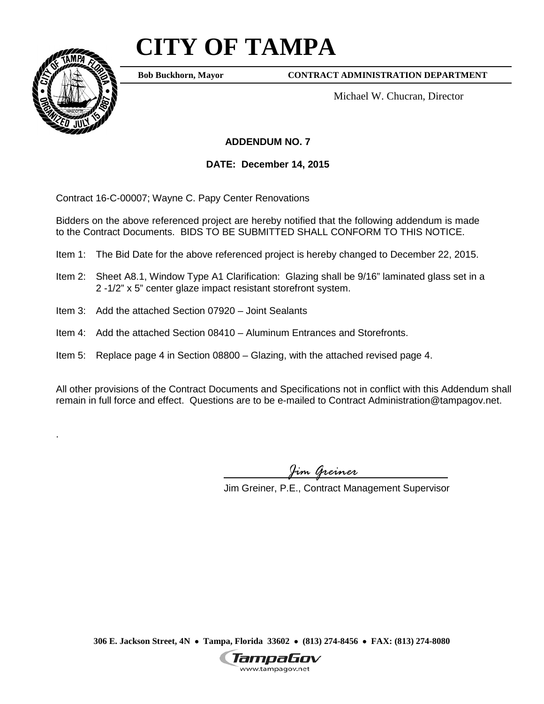# **CITY OF TAMPA**



.

**Bob Buckhorn, Mayor**

**CONTRACT ADMINISTRATION DEPARTMENT**

Michael W. Chucran, Director

# **ADDENDUM NO. 7**

**DATE: December 14, 2015**

Contract 16-C-00007; Wayne C. Papy Center Renovations

Bidders on the above referenced project are hereby notified that the following addendum is made to the Contract Documents. BIDS TO BE SUBMITTED SHALL CONFORM TO THIS NOTICE.

- Item 1: The Bid Date for the above referenced project is hereby changed to December 22, 2015.
- Item 2: Sheet A8.1, Window Type A1 Clarification: Glazing shall be 9/16" laminated glass set in a 2 -1/2" x 5" center glaze impact resistant storefront system.
- Item 3: Add the attached Section 07920 Joint Sealants
- Item 4: Add the attached Section 08410 Aluminum Entrances and Storefronts.
- Item 5: Replace page 4 in Section 08800 Glazing, with the attached revised page 4.

All other provisions of the Contract Documents and Specifications not in conflict with this Addendum shall remain in full force and effect. Questions are to be e-mailed to Contract Administration@tampagov.net.

*Jim Greiner*

Jim Greiner, P.E., Contract Management Supervisor

**306 E. Jackson Street, 4N** • **Tampa, Florida 33602** • **(813) 274-8456** • **FAX: (813) 274-8080**

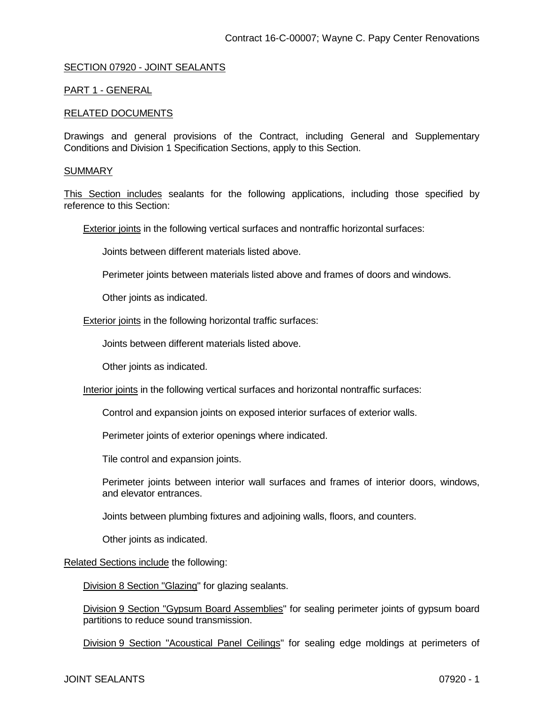# SECTION 07920 - JOINT SEALANTS

# PART 1 - GENERAL

# RELATED DOCUMENTS

Drawings and general provisions of the Contract, including General and Supplementary Conditions and Division 1 Specification Sections, apply to this Section.

## **SUMMARY**

This Section includes sealants for the following applications, including those specified by reference to this Section:

**Exterior joints in the following vertical surfaces and nontraffic horizontal surfaces:** 

Joints between different materials listed above.

Perimeter joints between materials listed above and frames of doors and windows.

Other joints as indicated.

Exterior joints in the following horizontal traffic surfaces:

Joints between different materials listed above.

Other joints as indicated.

Interior joints in the following vertical surfaces and horizontal nontraffic surfaces:

Control and expansion joints on exposed interior surfaces of exterior walls.

Perimeter joints of exterior openings where indicated.

Tile control and expansion joints.

Perimeter joints between interior wall surfaces and frames of interior doors, windows, and elevator entrances.

Joints between plumbing fixtures and adjoining walls, floors, and counters.

Other joints as indicated.

Related Sections include the following:

Division 8 Section "Glazing" for glazing sealants.

Division 9 Section "Gypsum Board Assemblies" for sealing perimeter joints of gypsum board partitions to reduce sound transmission.

Division 9 Section "Acoustical Panel Ceilings" for sealing edge moldings at perimeters of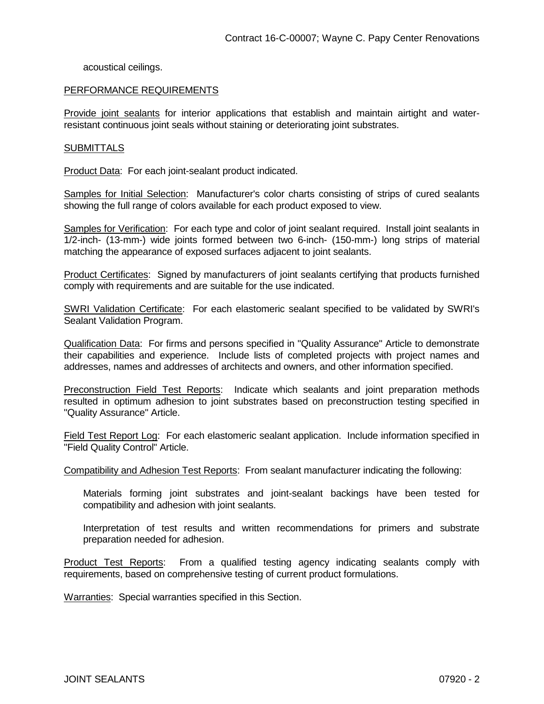acoustical ceilings.

## PERFORMANCE REQUIREMENTS

Provide joint sealants for interior applications that establish and maintain airtight and waterresistant continuous joint seals without staining or deteriorating joint substrates.

## **SUBMITTALS**

Product Data: For each joint-sealant product indicated.

Samples for Initial Selection: Manufacturer's color charts consisting of strips of cured sealants showing the full range of colors available for each product exposed to view.

Samples for Verification: For each type and color of joint sealant required. Install joint sealants in 1/2-inch- (13-mm-) wide joints formed between two 6-inch- (150-mm-) long strips of material matching the appearance of exposed surfaces adjacent to joint sealants.

Product Certificates: Signed by manufacturers of joint sealants certifying that products furnished comply with requirements and are suitable for the use indicated.

SWRI Validation Certificate: For each elastomeric sealant specified to be validated by SWRI's Sealant Validation Program.

Qualification Data: For firms and persons specified in "Quality Assurance" Article to demonstrate their capabilities and experience. Include lists of completed projects with project names and addresses, names and addresses of architects and owners, and other information specified.

Preconstruction Field Test Reports: Indicate which sealants and joint preparation methods resulted in optimum adhesion to joint substrates based on preconstruction testing specified in "Quality Assurance" Article.

Field Test Report Log: For each elastomeric sealant application. Include information specified in "Field Quality Control" Article.

Compatibility and Adhesion Test Reports: From sealant manufacturer indicating the following:

Materials forming joint substrates and joint-sealant backings have been tested for compatibility and adhesion with joint sealants.

Interpretation of test results and written recommendations for primers and substrate preparation needed for adhesion.

Product Test Reports: From a qualified testing agency indicating sealants comply with requirements, based on comprehensive testing of current product formulations.

Warranties: Special warranties specified in this Section.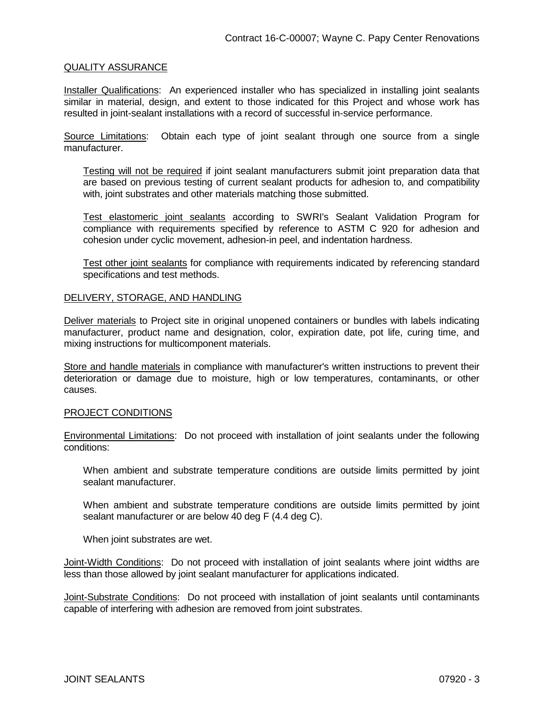# QUALITY ASSURANCE

Installer Qualifications: An experienced installer who has specialized in installing joint sealants similar in material, design, and extent to those indicated for this Project and whose work has resulted in joint-sealant installations with a record of successful in-service performance.

Source Limitations: Obtain each type of joint sealant through one source from a single manufacturer.

Testing will not be required if joint sealant manufacturers submit joint preparation data that are based on previous testing of current sealant products for adhesion to, and compatibility with, joint substrates and other materials matching those submitted.

Test elastomeric joint sealants according to SWRI's Sealant Validation Program for compliance with requirements specified by reference to ASTM C 920 for adhesion and cohesion under cyclic movement, adhesion-in peel, and indentation hardness.

Test other joint sealants for compliance with requirements indicated by referencing standard specifications and test methods.

# DELIVERY, STORAGE, AND HANDLING

Deliver materials to Project site in original unopened containers or bundles with labels indicating manufacturer, product name and designation, color, expiration date, pot life, curing time, and mixing instructions for multicomponent materials.

Store and handle materials in compliance with manufacturer's written instructions to prevent their deterioration or damage due to moisture, high or low temperatures, contaminants, or other causes.

# PROJECT CONDITIONS

Environmental Limitations: Do not proceed with installation of joint sealants under the following conditions:

When ambient and substrate temperature conditions are outside limits permitted by joint sealant manufacturer.

When ambient and substrate temperature conditions are outside limits permitted by joint sealant manufacturer or are below 40 deg F (4.4 deg C).

When joint substrates are wet.

Joint-Width Conditions: Do not proceed with installation of joint sealants where joint widths are less than those allowed by joint sealant manufacturer for applications indicated.

Joint-Substrate Conditions: Do not proceed with installation of joint sealants until contaminants capable of interfering with adhesion are removed from joint substrates.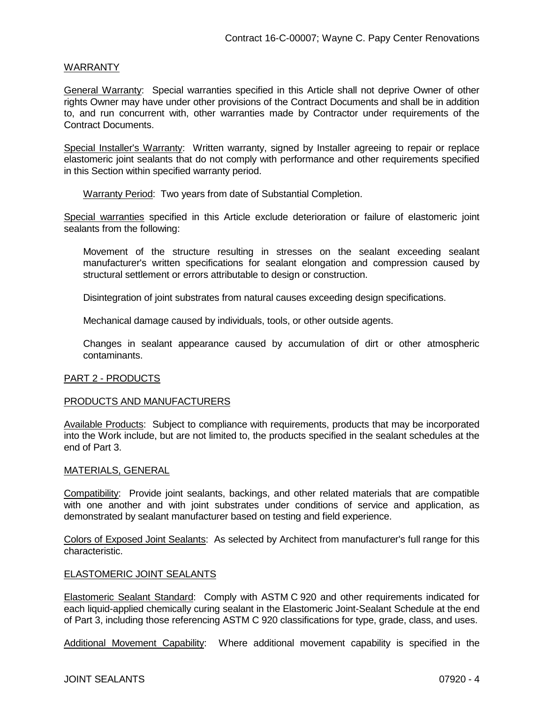# WARRANTY

General Warranty: Special warranties specified in this Article shall not deprive Owner of other rights Owner may have under other provisions of the Contract Documents and shall be in addition to, and run concurrent with, other warranties made by Contractor under requirements of the Contract Documents.

Special Installer's Warranty: Written warranty, signed by Installer agreeing to repair or replace elastomeric joint sealants that do not comply with performance and other requirements specified in this Section within specified warranty period.

Warranty Period: Two years from date of Substantial Completion.

Special warranties specified in this Article exclude deterioration or failure of elastomeric joint sealants from the following:

Movement of the structure resulting in stresses on the sealant exceeding sealant manufacturer's written specifications for sealant elongation and compression caused by structural settlement or errors attributable to design or construction.

Disintegration of joint substrates from natural causes exceeding design specifications.

Mechanical damage caused by individuals, tools, or other outside agents.

Changes in sealant appearance caused by accumulation of dirt or other atmospheric contaminants.

#### PART 2 - PRODUCTS

#### PRODUCTS AND MANUFACTURERS

Available Products: Subject to compliance with requirements, products that may be incorporated into the Work include, but are not limited to, the products specified in the sealant schedules at the end of Part 3.

#### MATERIALS, GENERAL

Compatibility: Provide joint sealants, backings, and other related materials that are compatible with one another and with joint substrates under conditions of service and application, as demonstrated by sealant manufacturer based on testing and field experience.

Colors of Exposed Joint Sealants: As selected by Architect from manufacturer's full range for this characteristic.

# ELASTOMERIC JOINT SEALANTS

Elastomeric Sealant Standard: Comply with ASTM C 920 and other requirements indicated for each liquid-applied chemically curing sealant in the Elastomeric Joint-Sealant Schedule at the end of Part 3, including those referencing ASTM C 920 classifications for type, grade, class, and uses.

Additional Movement Capability: Where additional movement capability is specified in the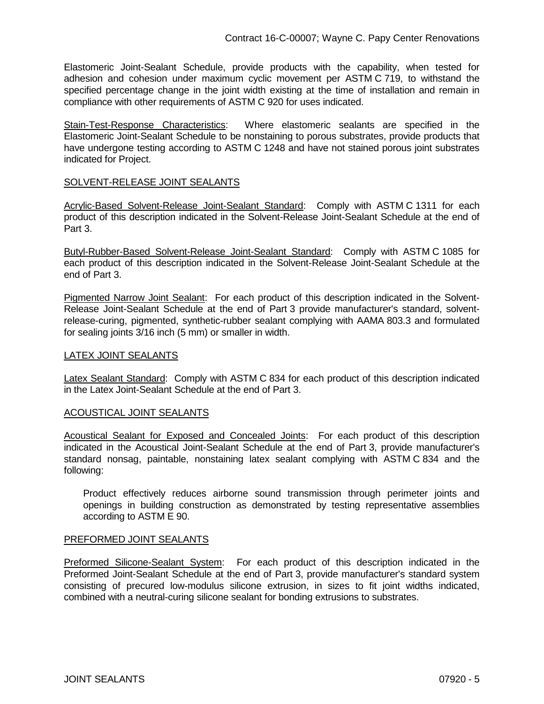Elastomeric Joint-Sealant Schedule, provide products with the capability, when tested for adhesion and cohesion under maximum cyclic movement per ASTM C 719, to withstand the specified percentage change in the joint width existing at the time of installation and remain in compliance with other requirements of ASTM C 920 for uses indicated.

Stain-Test-Response Characteristics: Where elastomeric sealants are specified in the Elastomeric Joint-Sealant Schedule to be nonstaining to porous substrates, provide products that have undergone testing according to ASTM C 1248 and have not stained porous joint substrates indicated for Project.

# SOLVENT-RELEASE JOINT SEALANTS

Acrylic-Based Solvent-Release Joint-Sealant Standard: Comply with ASTM C 1311 for each product of this description indicated in the Solvent-Release Joint-Sealant Schedule at the end of Part 3.

Butyl-Rubber-Based Solvent-Release Joint-Sealant Standard: Comply with ASTM C 1085 for each product of this description indicated in the Solvent-Release Joint-Sealant Schedule at the end of Part 3.

Pigmented Narrow Joint Sealant: For each product of this description indicated in the Solvent-Release Joint-Sealant Schedule at the end of Part 3 provide manufacturer's standard, solventrelease-curing, pigmented, synthetic-rubber sealant complying with AAMA 803.3 and formulated for sealing joints 3/16 inch (5 mm) or smaller in width.

# LATEX JOINT SEALANTS

Latex Sealant Standard: Comply with ASTM C 834 for each product of this description indicated in the Latex Joint-Sealant Schedule at the end of Part 3.

# ACOUSTICAL JOINT SEALANTS

Acoustical Sealant for Exposed and Concealed Joints: For each product of this description indicated in the Acoustical Joint-Sealant Schedule at the end of Part 3, provide manufacturer's standard nonsag, paintable, nonstaining latex sealant complying with ASTM C 834 and the following:

Product effectively reduces airborne sound transmission through perimeter joints and openings in building construction as demonstrated by testing representative assemblies according to ASTM E 90.

# PREFORMED JOINT SEALANTS

Preformed Silicone-Sealant System: For each product of this description indicated in the Preformed Joint-Sealant Schedule at the end of Part 3, provide manufacturer's standard system consisting of precured low-modulus silicone extrusion, in sizes to fit joint widths indicated, combined with a neutral-curing silicone sealant for bonding extrusions to substrates.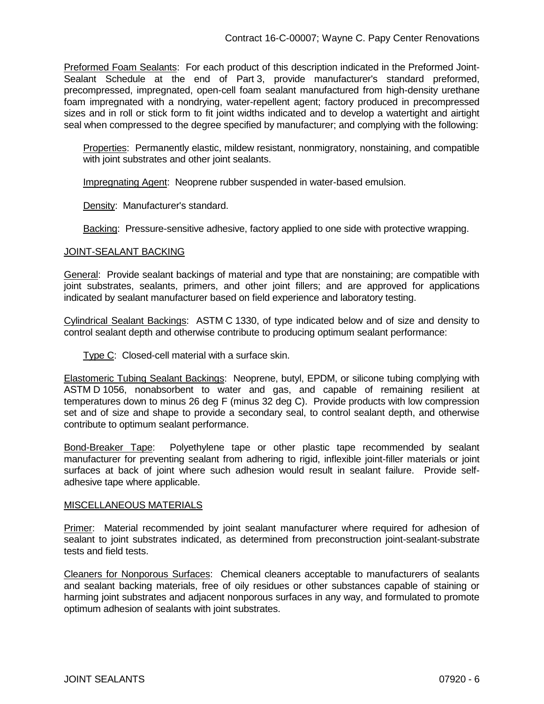Preformed Foam Sealants: For each product of this description indicated in the Preformed Joint-Sealant Schedule at the end of Part 3, provide manufacturer's standard preformed, precompressed, impregnated, open-cell foam sealant manufactured from high-density urethane foam impregnated with a nondrying, water-repellent agent; factory produced in precompressed sizes and in roll or stick form to fit joint widths indicated and to develop a watertight and airtight seal when compressed to the degree specified by manufacturer; and complying with the following:

Properties: Permanently elastic, mildew resistant, nonmigratory, nonstaining, and compatible with joint substrates and other joint sealants.

Impregnating Agent: Neoprene rubber suspended in water-based emulsion.

Density: Manufacturer's standard.

Backing: Pressure-sensitive adhesive, factory applied to one side with protective wrapping.

# JOINT-SEALANT BACKING

General: Provide sealant backings of material and type that are nonstaining; are compatible with joint substrates, sealants, primers, and other joint fillers; and are approved for applications indicated by sealant manufacturer based on field experience and laboratory testing.

Cylindrical Sealant Backings: ASTM C 1330, of type indicated below and of size and density to control sealant depth and otherwise contribute to producing optimum sealant performance:

Type C: Closed-cell material with a surface skin.

Elastomeric Tubing Sealant Backings: Neoprene, butyl, EPDM, or silicone tubing complying with ASTM D 1056, nonabsorbent to water and gas, and capable of remaining resilient at temperatures down to minus 26 deg F (minus 32 deg C). Provide products with low compression set and of size and shape to provide a secondary seal, to control sealant depth, and otherwise contribute to optimum sealant performance.

Bond-Breaker Tape: Polyethylene tape or other plastic tape recommended by sealant manufacturer for preventing sealant from adhering to rigid, inflexible joint-filler materials or joint surfaces at back of joint where such adhesion would result in sealant failure. Provide selfadhesive tape where applicable.

# MISCELLANEOUS MATERIALS

Primer: Material recommended by joint sealant manufacturer where required for adhesion of sealant to joint substrates indicated, as determined from preconstruction joint-sealant-substrate tests and field tests.

Cleaners for Nonporous Surfaces: Chemical cleaners acceptable to manufacturers of sealants and sealant backing materials, free of oily residues or other substances capable of staining or harming joint substrates and adjacent nonporous surfaces in any way, and formulated to promote optimum adhesion of sealants with joint substrates.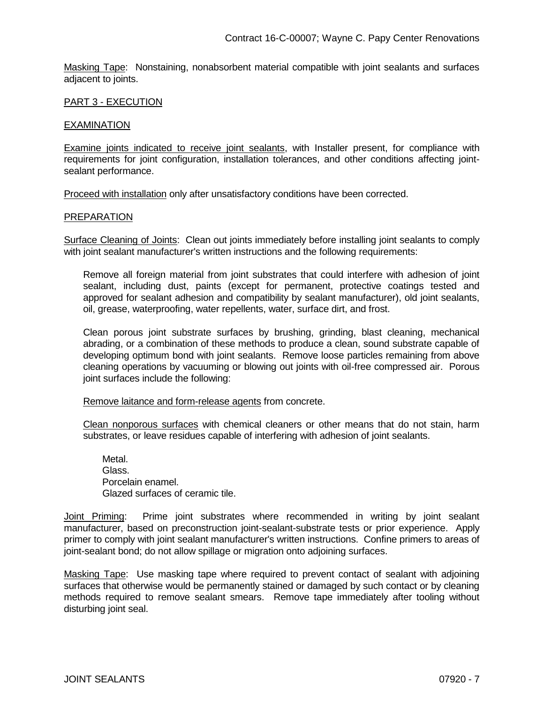Masking Tape: Nonstaining, nonabsorbent material compatible with joint sealants and surfaces adjacent to joints.

# PART 3 - EXECUTION

# EXAMINATION

Examine joints indicated to receive joint sealants, with Installer present, for compliance with requirements for joint configuration, installation tolerances, and other conditions affecting jointsealant performance.

Proceed with installation only after unsatisfactory conditions have been corrected.

## PREPARATION

Surface Cleaning of Joints: Clean out joints immediately before installing joint sealants to comply with joint sealant manufacturer's written instructions and the following requirements:

Remove all foreign material from joint substrates that could interfere with adhesion of joint sealant, including dust, paints (except for permanent, protective coatings tested and approved for sealant adhesion and compatibility by sealant manufacturer), old joint sealants, oil, grease, waterproofing, water repellents, water, surface dirt, and frost.

Clean porous joint substrate surfaces by brushing, grinding, blast cleaning, mechanical abrading, or a combination of these methods to produce a clean, sound substrate capable of developing optimum bond with joint sealants. Remove loose particles remaining from above cleaning operations by vacuuming or blowing out joints with oil-free compressed air. Porous joint surfaces include the following:

Remove laitance and form-release agents from concrete.

Clean nonporous surfaces with chemical cleaners or other means that do not stain, harm substrates, or leave residues capable of interfering with adhesion of joint sealants.

Metal. Glass. Porcelain enamel. Glazed surfaces of ceramic tile.

Joint Priming: Prime joint substrates where recommended in writing by joint sealant manufacturer, based on preconstruction joint-sealant-substrate tests or prior experience. Apply primer to comply with joint sealant manufacturer's written instructions. Confine primers to areas of joint-sealant bond; do not allow spillage or migration onto adjoining surfaces.

Masking Tape: Use masking tape where required to prevent contact of sealant with adjoining surfaces that otherwise would be permanently stained or damaged by such contact or by cleaning methods required to remove sealant smears. Remove tape immediately after tooling without disturbing joint seal.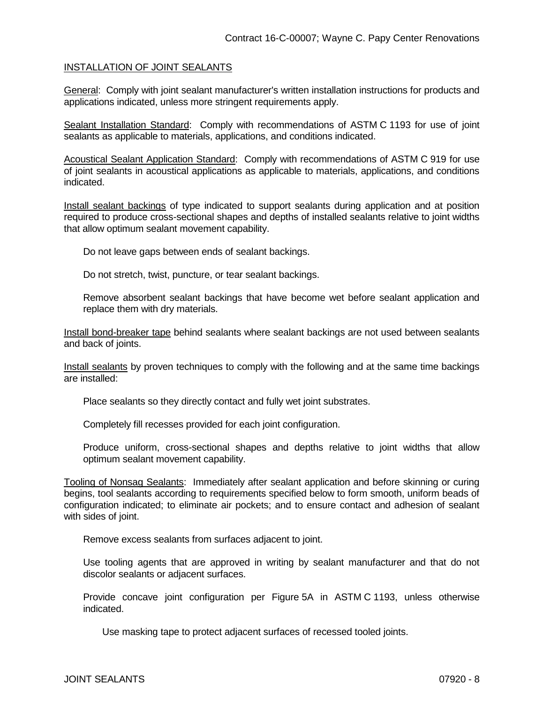# INSTALLATION OF JOINT SEALANTS

General: Comply with joint sealant manufacturer's written installation instructions for products and applications indicated, unless more stringent requirements apply.

Sealant Installation Standard: Comply with recommendations of ASTM C 1193 for use of joint sealants as applicable to materials, applications, and conditions indicated.

Acoustical Sealant Application Standard: Comply with recommendations of ASTM C 919 for use of joint sealants in acoustical applications as applicable to materials, applications, and conditions indicated.

Install sealant backings of type indicated to support sealants during application and at position required to produce cross-sectional shapes and depths of installed sealants relative to joint widths that allow optimum sealant movement capability.

Do not leave gaps between ends of sealant backings.

Do not stretch, twist, puncture, or tear sealant backings.

Remove absorbent sealant backings that have become wet before sealant application and replace them with dry materials.

Install bond-breaker tape behind sealants where sealant backings are not used between sealants and back of joints.

Install sealants by proven techniques to comply with the following and at the same time backings are installed:

Place sealants so they directly contact and fully wet joint substrates.

Completely fill recesses provided for each joint configuration.

Produce uniform, cross-sectional shapes and depths relative to joint widths that allow optimum sealant movement capability.

Tooling of Nonsag Sealants: Immediately after sealant application and before skinning or curing begins, tool sealants according to requirements specified below to form smooth, uniform beads of configuration indicated; to eliminate air pockets; and to ensure contact and adhesion of sealant with sides of joint.

Remove excess sealants from surfaces adjacent to joint.

Use tooling agents that are approved in writing by sealant manufacturer and that do not discolor sealants or adjacent surfaces.

Provide concave joint configuration per Figure 5A in ASTM C 1193, unless otherwise indicated.

Use masking tape to protect adjacent surfaces of recessed tooled joints.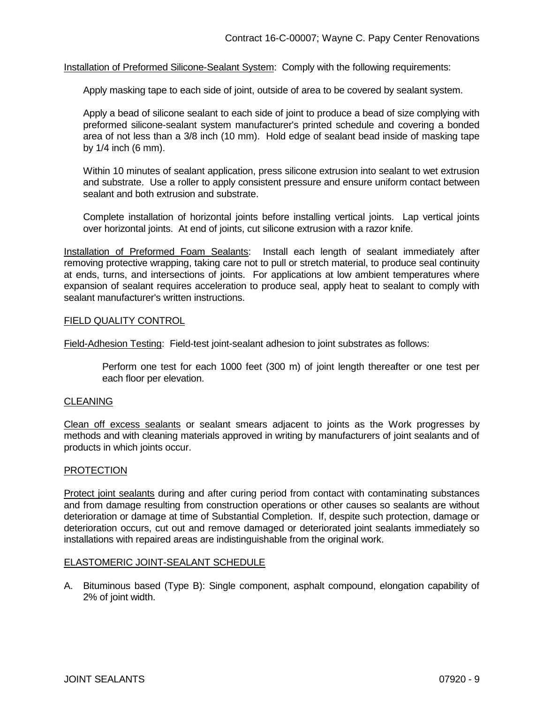Installation of Preformed Silicone-Sealant System: Comply with the following requirements:

Apply masking tape to each side of joint, outside of area to be covered by sealant system.

Apply a bead of silicone sealant to each side of joint to produce a bead of size complying with preformed silicone-sealant system manufacturer's printed schedule and covering a bonded area of not less than a 3/8 inch (10 mm). Hold edge of sealant bead inside of masking tape by 1/4 inch (6 mm).

Within 10 minutes of sealant application, press silicone extrusion into sealant to wet extrusion and substrate. Use a roller to apply consistent pressure and ensure uniform contact between sealant and both extrusion and substrate.

Complete installation of horizontal joints before installing vertical joints. Lap vertical joints over horizontal joints. At end of joints, cut silicone extrusion with a razor knife.

Installation of Preformed Foam Sealants: Install each length of sealant immediately after removing protective wrapping, taking care not to pull or stretch material, to produce seal continuity at ends, turns, and intersections of joints. For applications at low ambient temperatures where expansion of sealant requires acceleration to produce seal, apply heat to sealant to comply with sealant manufacturer's written instructions.

## FIELD QUALITY CONTROL

Field-Adhesion Testing: Field-test joint-sealant adhesion to joint substrates as follows:

Perform one test for each 1000 feet (300 m) of joint length thereafter or one test per each floor per elevation.

## CLEANING

Clean off excess sealants or sealant smears adjacent to joints as the Work progresses by methods and with cleaning materials approved in writing by manufacturers of joint sealants and of products in which joints occur.

#### **PROTECTION**

Protect joint sealants during and after curing period from contact with contaminating substances and from damage resulting from construction operations or other causes so sealants are without deterioration or damage at time of Substantial Completion. If, despite such protection, damage or deterioration occurs, cut out and remove damaged or deteriorated joint sealants immediately so installations with repaired areas are indistinguishable from the original work.

#### ELASTOMERIC JOINT-SEALANT SCHEDULE

A. Bituminous based (Type B): Single component, asphalt compound, elongation capability of 2% of joint width.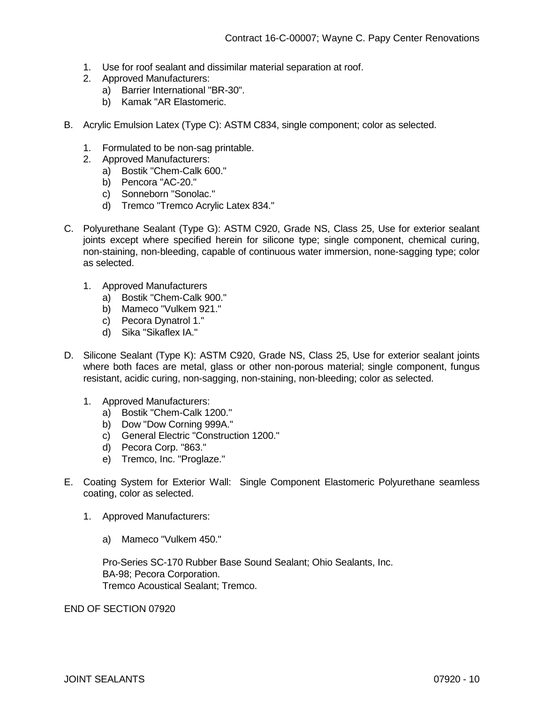- 1. Use for roof sealant and dissimilar material separation at roof.
- 2. Approved Manufacturers:
	- a) Barrier International "BR-30".
	- b) Kamak "AR Elastomeric.
- B. Acrylic Emulsion Latex (Type C): ASTM C834, single component; color as selected.
	- 1. Formulated to be non-sag printable.
	- 2. Approved Manufacturers:
		- a) Bostik "Chem-Calk 600."
		- b) Pencora "AC-20."
		- c) Sonneborn "Sonolac."
		- d) Tremco "Tremco Acrylic Latex 834."
- C. Polyurethane Sealant (Type G): ASTM C920, Grade NS, Class 25, Use for exterior sealant joints except where specified herein for silicone type; single component, chemical curing, non-staining, non-bleeding, capable of continuous water immersion, none-sagging type; color as selected.
	- 1. Approved Manufacturers
		- a) Bostik "Chem-Calk 900."
		- b) Mameco "Vulkem 921."
		- c) Pecora Dynatrol 1."
		- d) Sika "Sikaflex IA."
- D. Silicone Sealant (Type K): ASTM C920, Grade NS, Class 25, Use for exterior sealant joints where both faces are metal, glass or other non-porous material; single component, fungus resistant, acidic curing, non-sagging, non-staining, non-bleeding; color as selected.
	- 1. Approved Manufacturers:
		- a) Bostik "Chem-Calk 1200."
		- b) Dow "Dow Corning 999A."
		- c) General Electric "Construction 1200."
		- d) Pecora Corp. "863."
		- e) Tremco, Inc. "Proglaze."
- E. Coating System for Exterior Wall: Single Component Elastomeric Polyurethane seamless coating, color as selected.
	- 1. Approved Manufacturers:
		- a) Mameco "Vulkem 450."

Pro-Series SC-170 Rubber Base Sound Sealant; Ohio Sealants, Inc. BA-98; Pecora Corporation. Tremco Acoustical Sealant; Tremco.

END OF SECTION 07920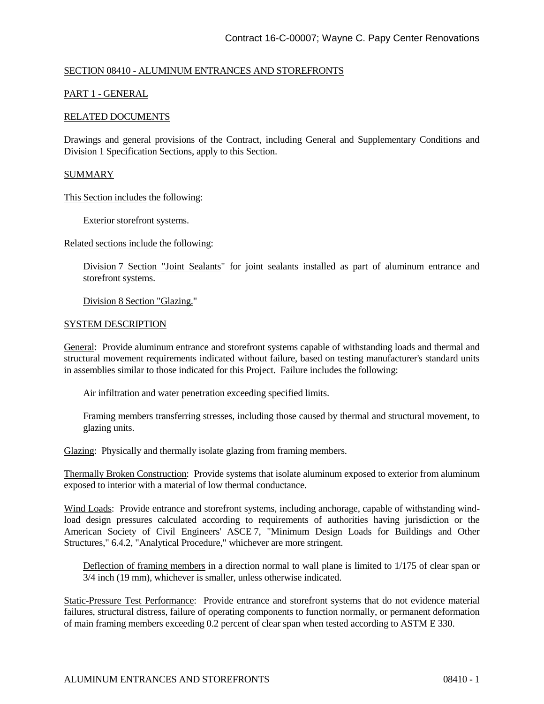# SECTION 08410 - ALUMINUM ENTRANCES AND STOREFRONTS

# PART 1 - GENERAL

## RELATED DOCUMENTS

Drawings and general provisions of the Contract, including General and Supplementary Conditions and Division 1 Specification Sections, apply to this Section.

## SUMMARY

This Section includes the following:

Exterior storefront systems.

Related sections include the following:

Division 7 Section "Joint Sealants" for joint sealants installed as part of aluminum entrance and storefront systems.

Division 8 Section "Glazing."

#### SYSTEM DESCRIPTION

General: Provide aluminum entrance and storefront systems capable of withstanding loads and thermal and structural movement requirements indicated without failure, based on testing manufacturer's standard units in assemblies similar to those indicated for this Project. Failure includes the following:

Air infiltration and water penetration exceeding specified limits.

Framing members transferring stresses, including those caused by thermal and structural movement, to glazing units.

Glazing: Physically and thermally isolate glazing from framing members.

Thermally Broken Construction: Provide systems that isolate aluminum exposed to exterior from aluminum exposed to interior with a material of low thermal conductance.

Wind Loads: Provide entrance and storefront systems, including anchorage, capable of withstanding windload design pressures calculated according to requirements of authorities having jurisdiction or the American Society of Civil Engineers' ASCE 7, "Minimum Design Loads for Buildings and Other Structures," 6.4.2, "Analytical Procedure," whichever are more stringent.

Deflection of framing members in a direction normal to wall plane is limited to 1/175 of clear span or 3/4 inch (19 mm), whichever is smaller, unless otherwise indicated.

Static-Pressure Test Performance: Provide entrance and storefront systems that do not evidence material failures, structural distress, failure of operating components to function normally, or permanent deformation of main framing members exceeding 0.2 percent of clear span when tested according to ASTM E 330.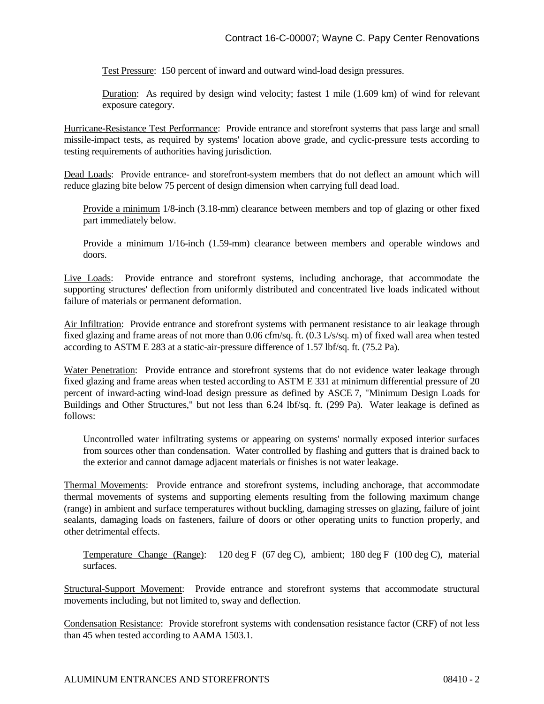Test Pressure: 150 percent of inward and outward wind-load design pressures.

Duration: As required by design wind velocity; fastest 1 mile (1.609 km) of wind for relevant exposure category.

Hurricane-Resistance Test Performance: Provide entrance and storefront systems that pass large and small missile-impact tests, as required by systems' location above grade, and cyclic-pressure tests according to testing requirements of authorities having jurisdiction.

Dead Loads: Provide entrance- and storefront-system members that do not deflect an amount which will reduce glazing bite below 75 percent of design dimension when carrying full dead load.

Provide a minimum 1/8-inch (3.18-mm) clearance between members and top of glazing or other fixed part immediately below.

Provide a minimum 1/16-inch (1.59-mm) clearance between members and operable windows and doors.

Live Loads: Provide entrance and storefront systems, including anchorage, that accommodate the supporting structures' deflection from uniformly distributed and concentrated live loads indicated without failure of materials or permanent deformation.

Air Infiltration: Provide entrance and storefront systems with permanent resistance to air leakage through fixed glazing and frame areas of not more than 0.06 cfm/sq. ft. (0.3 L/s/sq. m) of fixed wall area when tested according to ASTM E 283 at a static-air-pressure difference of 1.57 lbf/sq. ft. (75.2 Pa).

Water Penetration: Provide entrance and storefront systems that do not evidence water leakage through fixed glazing and frame areas when tested according to ASTM E 331 at minimum differential pressure of 20 percent of inward-acting wind-load design pressure as defined by ASCE 7, "Minimum Design Loads for Buildings and Other Structures," but not less than 6.24 lbf/sq. ft. (299 Pa). Water leakage is defined as follows:

Uncontrolled water infiltrating systems or appearing on systems' normally exposed interior surfaces from sources other than condensation. Water controlled by flashing and gutters that is drained back to the exterior and cannot damage adjacent materials or finishes is not water leakage.

Thermal Movements: Provide entrance and storefront systems, including anchorage, that accommodate thermal movements of systems and supporting elements resulting from the following maximum change (range) in ambient and surface temperatures without buckling, damaging stresses on glazing, failure of joint sealants, damaging loads on fasteners, failure of doors or other operating units to function properly, and other detrimental effects.

Temperature Change (Range): 120 deg F (67 deg C), ambient; 180 deg F (100 deg C), material surfaces.

Structural-Support Movement: Provide entrance and storefront systems that accommodate structural movements including, but not limited to, sway and deflection.

Condensation Resistance: Provide storefront systems with condensation resistance factor (CRF) of not less than 45 when tested according to AAMA 1503.1.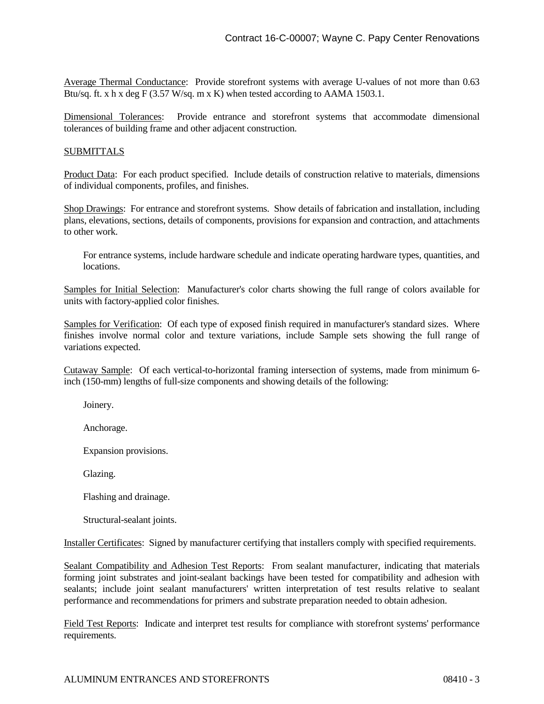Average Thermal Conductance: Provide storefront systems with average U-values of not more than 0.63 Btu/sq. ft. x h x deg F (3.57 W/sq. m x K) when tested according to AAMA 1503.1.

Dimensional Tolerances: Provide entrance and storefront systems that accommodate dimensional tolerances of building frame and other adjacent construction.

## **SUBMITTALS**

Product Data: For each product specified. Include details of construction relative to materials, dimensions of individual components, profiles, and finishes.

Shop Drawings: For entrance and storefront systems. Show details of fabrication and installation, including plans, elevations, sections, details of components, provisions for expansion and contraction, and attachments to other work.

For entrance systems, include hardware schedule and indicate operating hardware types, quantities, and locations.

Samples for Initial Selection: Manufacturer's color charts showing the full range of colors available for units with factory-applied color finishes.

Samples for Verification: Of each type of exposed finish required in manufacturer's standard sizes. Where finishes involve normal color and texture variations, include Sample sets showing the full range of variations expected.

Cutaway Sample: Of each vertical-to-horizontal framing intersection of systems, made from minimum 6 inch (150-mm) lengths of full-size components and showing details of the following:

Joinery.

Anchorage.

Expansion provisions.

Glazing.

Flashing and drainage.

Structural-sealant joints.

Installer Certificates: Signed by manufacturer certifying that installers comply with specified requirements.

Sealant Compatibility and Adhesion Test Reports: From sealant manufacturer, indicating that materials forming joint substrates and joint-sealant backings have been tested for compatibility and adhesion with sealants; include joint sealant manufacturers' written interpretation of test results relative to sealant performance and recommendations for primers and substrate preparation needed to obtain adhesion.

Field Test Reports: Indicate and interpret test results for compliance with storefront systems' performance requirements.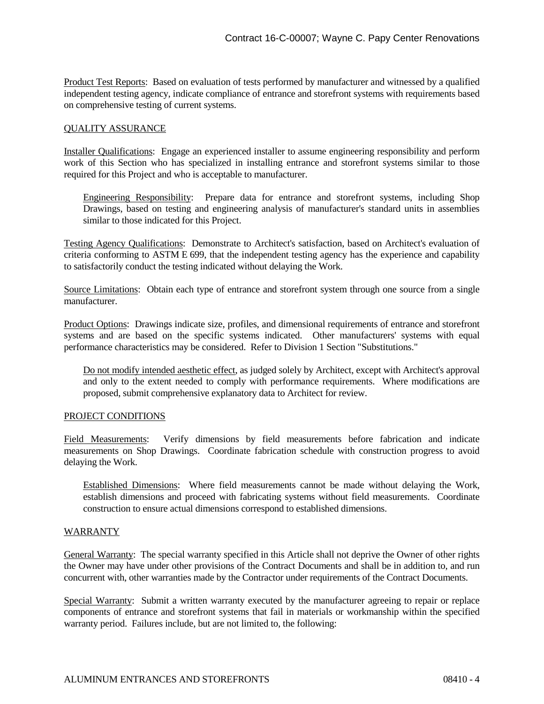Product Test Reports: Based on evaluation of tests performed by manufacturer and witnessed by a qualified independent testing agency, indicate compliance of entrance and storefront systems with requirements based on comprehensive testing of current systems.

# QUALITY ASSURANCE

Installer Qualifications: Engage an experienced installer to assume engineering responsibility and perform work of this Section who has specialized in installing entrance and storefront systems similar to those required for this Project and who is acceptable to manufacturer.

Engineering Responsibility: Prepare data for entrance and storefront systems, including Shop Drawings, based on testing and engineering analysis of manufacturer's standard units in assemblies similar to those indicated for this Project.

Testing Agency Qualifications: Demonstrate to Architect's satisfaction, based on Architect's evaluation of criteria conforming to ASTM E 699, that the independent testing agency has the experience and capability to satisfactorily conduct the testing indicated without delaying the Work.

Source Limitations: Obtain each type of entrance and storefront system through one source from a single manufacturer.

Product Options: Drawings indicate size, profiles, and dimensional requirements of entrance and storefront systems and are based on the specific systems indicated. Other manufacturers' systems with equal performance characteristics may be considered. Refer to Division 1 Section "Substitutions."

Do not modify intended aesthetic effect, as judged solely by Architect, except with Architect's approval and only to the extent needed to comply with performance requirements. Where modifications are proposed, submit comprehensive explanatory data to Architect for review.

# PROJECT CONDITIONS

Field Measurements: Verify dimensions by field measurements before fabrication and indicate measurements on Shop Drawings. Coordinate fabrication schedule with construction progress to avoid delaying the Work.

Established Dimensions: Where field measurements cannot be made without delaying the Work, establish dimensions and proceed with fabricating systems without field measurements. Coordinate construction to ensure actual dimensions correspond to established dimensions.

# WARRANTY

General Warranty: The special warranty specified in this Article shall not deprive the Owner of other rights the Owner may have under other provisions of the Contract Documents and shall be in addition to, and run concurrent with, other warranties made by the Contractor under requirements of the Contract Documents.

Special Warranty: Submit a written warranty executed by the manufacturer agreeing to repair or replace components of entrance and storefront systems that fail in materials or workmanship within the specified warranty period. Failures include, but are not limited to, the following: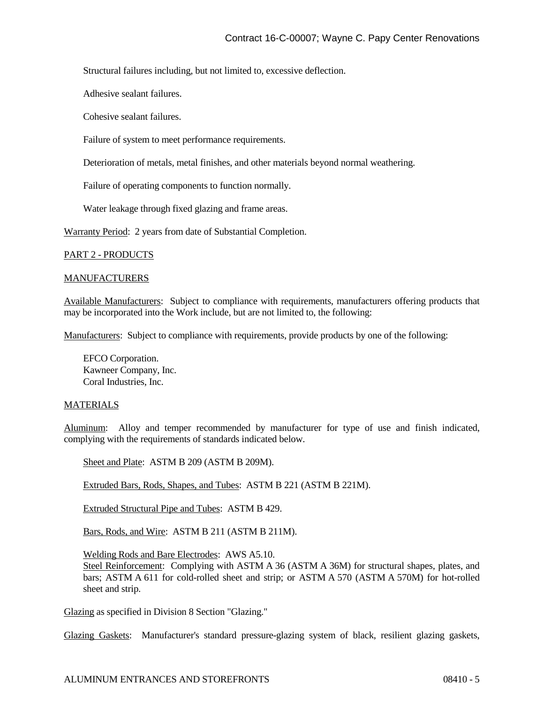Structural failures including, but not limited to, excessive deflection.

Adhesive sealant failures.

Cohesive sealant failures.

Failure of system to meet performance requirements.

Deterioration of metals, metal finishes, and other materials beyond normal weathering.

Failure of operating components to function normally.

Water leakage through fixed glazing and frame areas.

Warranty Period: 2 years from date of Substantial Completion.

# PART 2 - PRODUCTS

## **MANUFACTURERS**

Available Manufacturers: Subject to compliance with requirements, manufacturers offering products that may be incorporated into the Work include, but are not limited to, the following:

Manufacturers: Subject to compliance with requirements, provide products by one of the following:

EFCO Corporation. Kawneer Company, Inc. Coral Industries, Inc.

# MATERIALS

Aluminum: Alloy and temper recommended by manufacturer for type of use and finish indicated, complying with the requirements of standards indicated below.

Sheet and Plate: ASTM B 209 (ASTM B 209M).

Extruded Bars, Rods, Shapes, and Tubes: ASTM B 221 (ASTM B 221M).

Extruded Structural Pipe and Tubes: ASTM B 429.

Bars, Rods, and Wire: ASTM B 211 (ASTM B 211M).

Welding Rods and Bare Electrodes: AWS A5.10.

Steel Reinforcement: Complying with ASTM A 36 (ASTM A 36M) for structural shapes, plates, and bars; ASTM A 611 for cold-rolled sheet and strip; or ASTM A 570 (ASTM A 570M) for hot-rolled sheet and strip.

Glazing as specified in Division 8 Section "Glazing."

Glazing Gaskets: Manufacturer's standard pressure-glazing system of black, resilient glazing gaskets,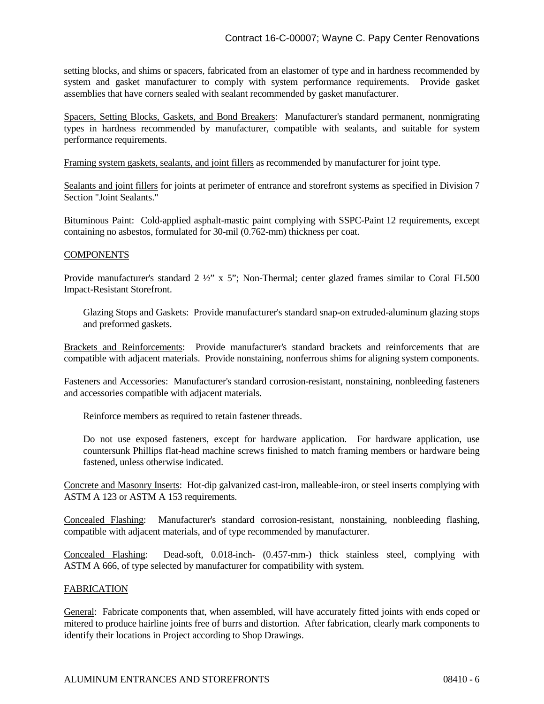setting blocks, and shims or spacers, fabricated from an elastomer of type and in hardness recommended by system and gasket manufacturer to comply with system performance requirements. Provide gasket assemblies that have corners sealed with sealant recommended by gasket manufacturer.

Spacers, Setting Blocks, Gaskets, and Bond Breakers: Manufacturer's standard permanent, nonmigrating types in hardness recommended by manufacturer, compatible with sealants, and suitable for system performance requirements.

Framing system gaskets, sealants, and joint fillers as recommended by manufacturer for joint type.

Sealants and joint fillers for joints at perimeter of entrance and storefront systems as specified in Division 7 Section "Joint Sealants."

Bituminous Paint: Cold-applied asphalt-mastic paint complying with SSPC-Paint 12 requirements, except containing no asbestos, formulated for 30-mil (0.762-mm) thickness per coat.

# **COMPONENTS**

Provide manufacturer's standard 2 ½" x 5"; Non-Thermal; center glazed frames similar to Coral FL500 Impact-Resistant Storefront.

Glazing Stops and Gaskets: Provide manufacturer's standard snap-on extruded-aluminum glazing stops and preformed gaskets.

Brackets and Reinforcements: Provide manufacturer's standard brackets and reinforcements that are compatible with adjacent materials. Provide nonstaining, nonferrous shims for aligning system components.

Fasteners and Accessories: Manufacturer's standard corrosion-resistant, nonstaining, nonbleeding fasteners and accessories compatible with adjacent materials.

Reinforce members as required to retain fastener threads.

Do not use exposed fasteners, except for hardware application. For hardware application, use countersunk Phillips flat-head machine screws finished to match framing members or hardware being fastened, unless otherwise indicated.

Concrete and Masonry Inserts: Hot-dip galvanized cast-iron, malleable-iron, or steel inserts complying with ASTM A 123 or ASTM A 153 requirements.

Concealed Flashing: Manufacturer's standard corrosion-resistant, nonstaining, nonbleeding flashing, compatible with adjacent materials, and of type recommended by manufacturer.

Concealed Flashing: Dead-soft, 0.018-inch- (0.457-mm-) thick stainless steel, complying with ASTM A 666, of type selected by manufacturer for compatibility with system.

#### **FABRICATION**

General: Fabricate components that, when assembled, will have accurately fitted joints with ends coped or mitered to produce hairline joints free of burrs and distortion. After fabrication, clearly mark components to identify their locations in Project according to Shop Drawings.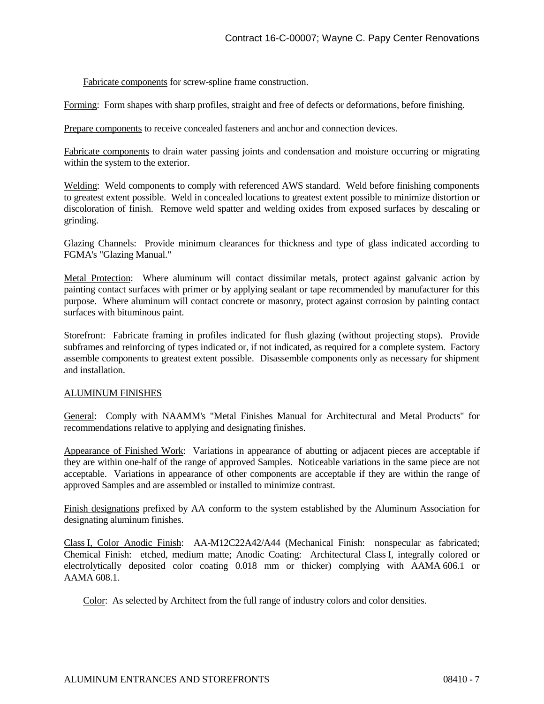Fabricate components for screw-spline frame construction.

Forming: Form shapes with sharp profiles, straight and free of defects or deformations, before finishing.

Prepare components to receive concealed fasteners and anchor and connection devices.

Fabricate components to drain water passing joints and condensation and moisture occurring or migrating within the system to the exterior.

Welding: Weld components to comply with referenced AWS standard. Weld before finishing components to greatest extent possible. Weld in concealed locations to greatest extent possible to minimize distortion or discoloration of finish. Remove weld spatter and welding oxides from exposed surfaces by descaling or grinding.

Glazing Channels: Provide minimum clearances for thickness and type of glass indicated according to FGMA's "Glazing Manual."

Metal Protection: Where aluminum will contact dissimilar metals, protect against galvanic action by painting contact surfaces with primer or by applying sealant or tape recommended by manufacturer for this purpose. Where aluminum will contact concrete or masonry, protect against corrosion by painting contact surfaces with bituminous paint.

Storefront: Fabricate framing in profiles indicated for flush glazing (without projecting stops). Provide subframes and reinforcing of types indicated or, if not indicated, as required for a complete system. Factory assemble components to greatest extent possible. Disassemble components only as necessary for shipment and installation.

# ALUMINUM FINISHES

General: Comply with NAAMM's "Metal Finishes Manual for Architectural and Metal Products" for recommendations relative to applying and designating finishes.

Appearance of Finished Work: Variations in appearance of abutting or adjacent pieces are acceptable if they are within one-half of the range of approved Samples. Noticeable variations in the same piece are not acceptable. Variations in appearance of other components are acceptable if they are within the range of approved Samples and are assembled or installed to minimize contrast.

Finish designations prefixed by AA conform to the system established by the Aluminum Association for designating aluminum finishes.

Class I, Color Anodic Finish: AA-M12C22A42/A44 (Mechanical Finish: nonspecular as fabricated; Chemical Finish: etched, medium matte; Anodic Coating: Architectural Class I, integrally colored or electrolytically deposited color coating 0.018 mm or thicker) complying with AAMA 606.1 or AAMA 608.1.

Color: As selected by Architect from the full range of industry colors and color densities.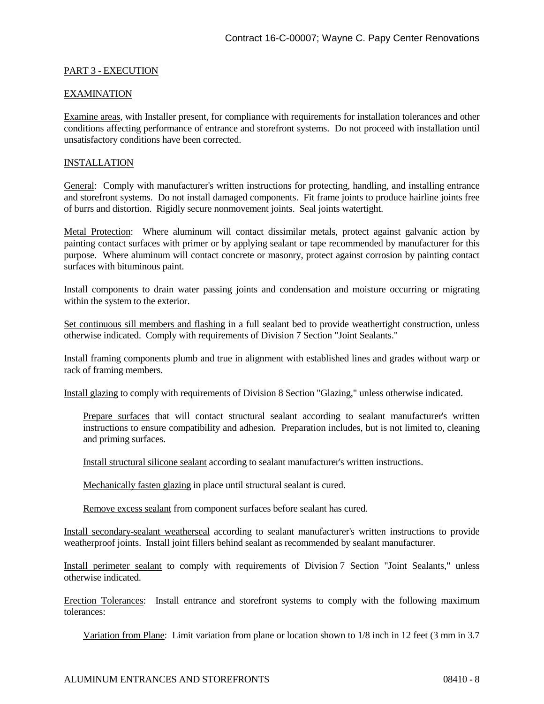# PART 3 - EXECUTION

# EXAMINATION

Examine areas, with Installer present, for compliance with requirements for installation tolerances and other conditions affecting performance of entrance and storefront systems. Do not proceed with installation until unsatisfactory conditions have been corrected.

## **INSTALLATION**

General: Comply with manufacturer's written instructions for protecting, handling, and installing entrance and storefront systems. Do not install damaged components. Fit frame joints to produce hairline joints free of burrs and distortion. Rigidly secure nonmovement joints. Seal joints watertight.

Metal Protection: Where aluminum will contact dissimilar metals, protect against galvanic action by painting contact surfaces with primer or by applying sealant or tape recommended by manufacturer for this purpose. Where aluminum will contact concrete or masonry, protect against corrosion by painting contact surfaces with bituminous paint.

Install components to drain water passing joints and condensation and moisture occurring or migrating within the system to the exterior.

Set continuous sill members and flashing in a full sealant bed to provide weathertight construction, unless otherwise indicated. Comply with requirements of Division 7 Section "Joint Sealants."

Install framing components plumb and true in alignment with established lines and grades without warp or rack of framing members.

Install glazing to comply with requirements of Division 8 Section "Glazing," unless otherwise indicated.

Prepare surfaces that will contact structural sealant according to sealant manufacturer's written instructions to ensure compatibility and adhesion. Preparation includes, but is not limited to, cleaning and priming surfaces.

Install structural silicone sealant according to sealant manufacturer's written instructions.

Mechanically fasten glazing in place until structural sealant is cured.

Remove excess sealant from component surfaces before sealant has cured.

Install secondary-sealant weatherseal according to sealant manufacturer's written instructions to provide weatherproof joints. Install joint fillers behind sealant as recommended by sealant manufacturer.

Install perimeter sealant to comply with requirements of Division 7 Section "Joint Sealants," unless otherwise indicated.

Erection Tolerances: Install entrance and storefront systems to comply with the following maximum tolerances:

Variation from Plane: Limit variation from plane or location shown to 1/8 inch in 12 feet (3 mm in 3.7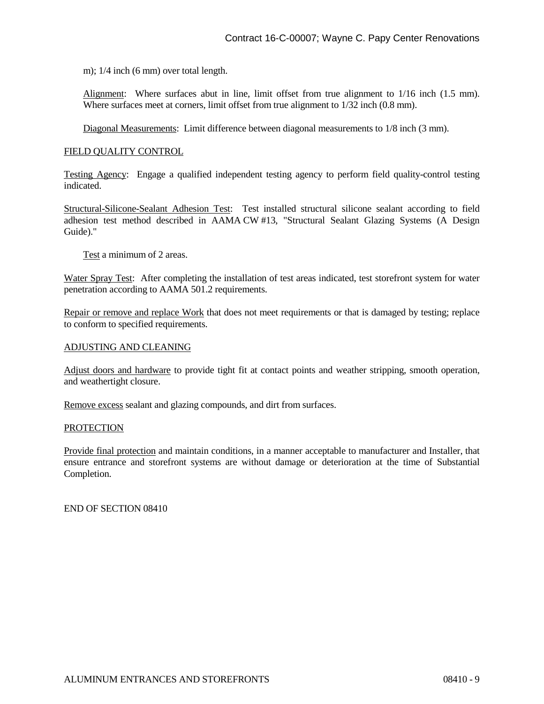m); 1/4 inch (6 mm) over total length.

Alignment: Where surfaces abut in line, limit offset from true alignment to 1/16 inch (1.5 mm). Where surfaces meet at corners, limit offset from true alignment to 1/32 inch (0.8 mm).

Diagonal Measurements: Limit difference between diagonal measurements to 1/8 inch (3 mm).

## FIELD QUALITY CONTROL

Testing Agency: Engage a qualified independent testing agency to perform field quality-control testing indicated.

Structural-Silicone-Sealant Adhesion Test: Test installed structural silicone sealant according to field adhesion test method described in AAMA CW #13, "Structural Sealant Glazing Systems (A Design Guide)."

Test a minimum of 2 areas.

Water Spray Test: After completing the installation of test areas indicated, test storefront system for water penetration according to AAMA 501.2 requirements.

Repair or remove and replace Work that does not meet requirements or that is damaged by testing; replace to conform to specified requirements.

#### ADJUSTING AND CLEANING

Adjust doors and hardware to provide tight fit at contact points and weather stripping, smooth operation, and weathertight closure.

Remove excess sealant and glazing compounds, and dirt from surfaces.

#### **PROTECTION**

Provide final protection and maintain conditions, in a manner acceptable to manufacturer and Installer, that ensure entrance and storefront systems are without damage or deterioration at the time of Substantial Completion.

END OF SECTION 08410